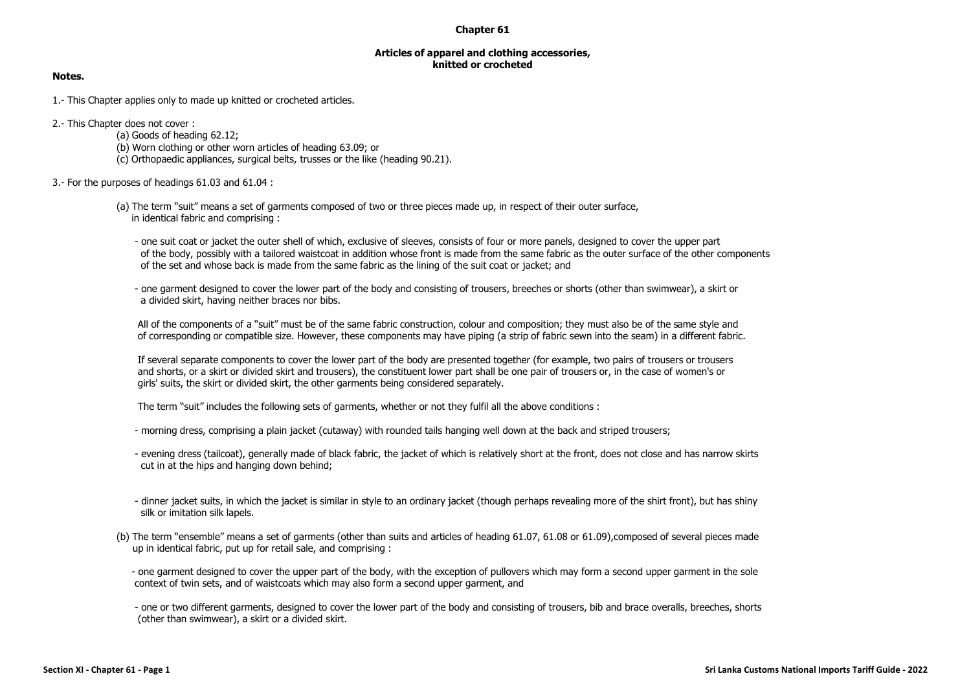## **Chapter 61**

## **Articles of apparel and clothing accessories, knitted or crocheted**

## **Notes.**

1.- This Chapter applies only to made up knitted or crocheted articles.

2.- This Chapter does not cover :

- (a) Goods of heading 62.12;
- (b) Worn clothing or other worn articles of heading 63.09; or
- (c) Orthopaedic appliances, surgical belts, trusses or the like (heading 90.21).

3.- For the purposes of headings 61.03 and 61.04 :

- (a) The term "suit" means a set of garments composed of two or three pieces made up, in respect of their outer surface, in identical fabric and comprising :
	- one suit coat or jacket the outer shell of which, exclusive of sleeves, consists of four or more panels, designed to cover the upper part of the body, possibly with a tailored waistcoat in addition whose front is made from the same fabric as the outer surface of the other components of the set and whose back is made from the same fabric as the lining of the suit coat or jacket; and
	- one garment designed to cover the lower part of the body and consisting of trousers, breeches or shorts (other than swimwear), a skirt or a divided skirt, having neither braces nor bibs.

All of the components of a "suit" must be of the same fabric construction, colour and composition; they must also be of the same style and of corresponding or compatible size. However, these components may have piping (a strip of fabric sewn into the seam) in a different fabric.

If several separate components to cover the lower part of the body are presented together (for example, two pairs of trousers or trousers and shorts, or a skirt or divided skirt and trousers), the constituent lower part shall be one pair of trousers or, in the case of women's or girls' suits, the skirt or divided skirt, the other garments being considered separately.

The term "suit" includes the following sets of garments, whether or not they fulfil all the above conditions :

- morning dress, comprising a plain jacket (cutaway) with rounded tails hanging well down at the back and striped trousers;
- evening dress (tailcoat), generally made of black fabric, the jacket of which is relatively short at the front, does not close and has narrow skirts cut in at the hips and hanging down behind;
- dinner jacket suits, in which the jacket is similar in style to an ordinary jacket (though perhaps revealing more of the shirt front), but has shiny silk or imitation silk lapels.
- (b) The term "ensemble" means a set of garments (other than suits and articles of heading 61.07, 61.08 or 61.09),composed of several pieces made up in identical fabric, put up for retail sale, and comprising :

- one garment designed to cover the upper part of the body, with the exception of pullovers which may form a second upper garment in the sole context of twin sets, and of waistcoats which may also form a second upper garment, and

- one or two different garments, designed to cover the lower part of the body and consisting of trousers, bib and brace overalls, breeches, shorts (other than swimwear), a skirt or a divided skirt.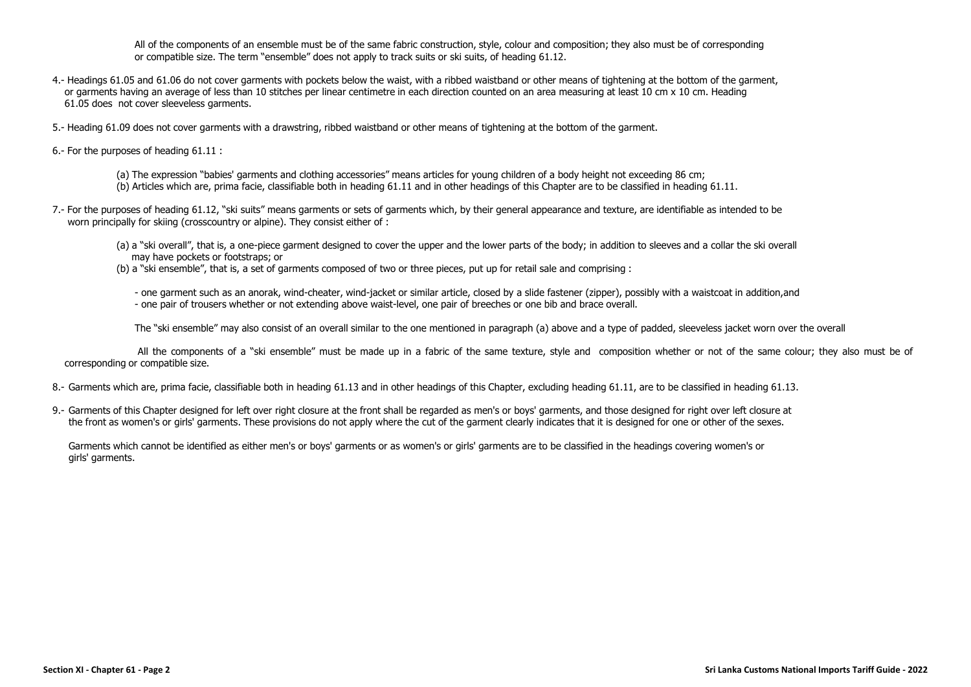All of the components of an ensemble must be of the same fabric construction, style, colour and composition; they also must be of corresponding or compatible size. The term "ensemble" does not apply to track suits or ski suits, of heading 61.12.

- 4.- Headings 61.05 and 61.06 do not cover garments with pockets below the waist, with a ribbed waistband or other means of tightening at the bottom of the garment, or garments having an average of less than 10 stitches per linear centimetre in each direction counted on an area measuring at least 10 cm x 10 cm. Heading 61.05 does not cover sleeveless garments.
- 5.- Heading 61.09 does not cover garments with a drawstring, ribbed waistband or other means of tightening at the bottom of the garment.
- 6.- For the purposes of heading 61.11 :
	- (a) The expression "babies' garments and clothing accessories" means articles for young children of a body height not exceeding 86 cm;
	- (b) Articles which are, prima facie, classifiable both in heading 61.11 and in other headings of this Chapter are to be classified in heading 61.11.
- 7.- For the purposes of heading 61.12, "ski suits" means garments or sets of garments which, by their general appearance and texture, are identifiable as intended to be worn principally for skiing (crosscountry or alpine). They consist either of :
	- (a) a "ski overall", that is, a one-piece garment designed to cover the upper and the lower parts of the body; in addition to sleeves and a collar the ski overall may have pockets or footstraps; or
	- (b) a "ski ensemble", that is, a set of garments composed of two or three pieces, put up for retail sale and comprising :

- one garment such as an anorak, wind-cheater, wind-jacket or similar article, closed by a slide fastener (zipper), possibly with a waistcoat in addition,and - one pair of trousers whether or not extending above waist-level, one pair of breeches or one bib and brace overall.

The "ski ensemble" may also consist of an overall similar to the one mentioned in paragraph (a) above and a type of padded, sleeveless jacket worn over the overall

All the components of a "ski ensemble" must be made up in a fabric of the same texture, style and composition whether or not of the same colour; they also must be of corresponding or compatible size.

8.- Garments which are, prima facie, classifiable both in heading 61.13 and in other headings of this Chapter, excluding heading 61.11, are to be classified in heading 61.13.

9.- Garments of this Chapter designed for left over right closure at the front shall be regarded as men's or boys' garments, and those designed for right over left closure at the front as women's or girls' garments. These provisions do not apply where the cut of the garment clearly indicates that it is designed for one or other of the sexes.

Garments which cannot be identified as either men's or boys' garments or as women's or girls' garments are to be classified in the headings covering women's or girls' garments.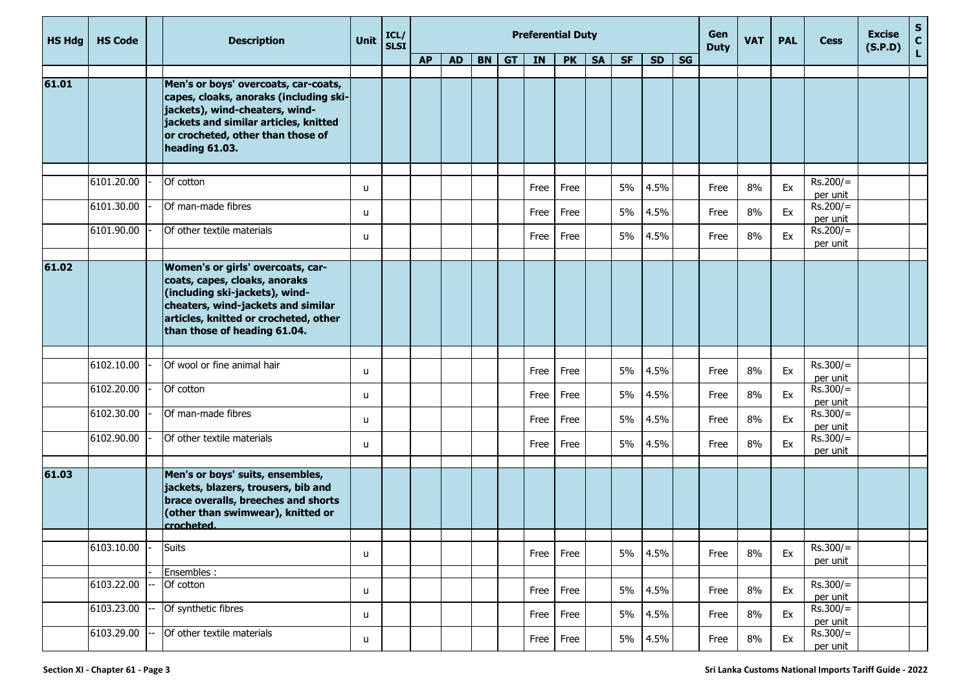| <b>HS Hdg</b> | <b>HS Code</b> | <b>Description</b>                                                                                                                                                                                                  | <b>Unit</b> | ICL/<br><b>SLSI</b> |           |           |           |           |      | <b>Preferential Duty</b> |           |           |           |           | Gen<br><b>Duty</b> | <b>VAT</b> | <b>PAL</b> | <b>Cess</b>            | <b>Excise</b><br>(S.P.D) | $\frac{s}{c}$ |
|---------------|----------------|---------------------------------------------------------------------------------------------------------------------------------------------------------------------------------------------------------------------|-------------|---------------------|-----------|-----------|-----------|-----------|------|--------------------------|-----------|-----------|-----------|-----------|--------------------|------------|------------|------------------------|--------------------------|---------------|
|               |                |                                                                                                                                                                                                                     |             |                     | <b>AP</b> | <b>AD</b> | <b>BN</b> | <b>GT</b> | IN   | <b>PK</b>                | <b>SA</b> | <b>SF</b> | <b>SD</b> | <b>SG</b> |                    |            |            |                        |                          | L.            |
| 61.01         |                | Men's or boys' overcoats, car-coats,<br>capes, cloaks, anoraks (including ski-<br>jackets), wind-cheaters, wind-<br>jackets and similar articles, knitted<br>or crocheted, other than those of<br>heading 61.03.    |             |                     |           |           |           |           |      |                          |           |           |           |           |                    |            |            |                        |                          |               |
|               | 6101.20.00     | Of cotton                                                                                                                                                                                                           | u           |                     |           |           |           |           | Free | Free                     |           | 5%        | 4.5%      |           | Free               | 8%         | Ex         | $Rs.200/=$<br>per unit |                          |               |
|               | 6101.30.00     | Of man-made fibres                                                                                                                                                                                                  | u           |                     |           |           |           |           | Free | Free                     |           | 5%        | 4.5%      |           | Free               | 8%         | Ex         | $Rs.200/=$<br>per unit |                          |               |
|               | 6101.90.00     | Of other textile materials                                                                                                                                                                                          | u           |                     |           |           |           |           | Free | Free                     |           | 5%        | 4.5%      |           | Free               | 8%         | Ex         | $Rs.200/=$<br>per unit |                          |               |
| 61.02         |                | Women's or girls' overcoats, car-<br>coats, capes, cloaks, anoraks<br>(including ski-jackets), wind-<br>cheaters, wind-jackets and similar<br>articles, knitted or crocheted, other<br>than those of heading 61.04. |             |                     |           |           |           |           |      |                          |           |           |           |           |                    |            |            |                        |                          |               |
|               |                |                                                                                                                                                                                                                     |             |                     |           |           |           |           |      |                          |           |           |           |           |                    |            |            |                        |                          |               |
|               | 6102.10.00     | Of wool or fine animal hair                                                                                                                                                                                         | u           |                     |           |           |           |           | Free | Free                     |           | 5%        | 4.5%      |           | Free               | 8%         | Ex         | $Rs.300/=$<br>per unit |                          |               |
|               | 6102.20.00     | Of cotton                                                                                                                                                                                                           | u           |                     |           |           |           |           | Free | Free                     |           | 5%        | 4.5%      |           | Free               | 8%         | Ex         | $Rs.300/=$<br>per unit |                          |               |
|               | 6102.30.00     | Of man-made fibres                                                                                                                                                                                                  | u           |                     |           |           |           |           | Free | Free                     |           | 5%        | 4.5%      |           | Free               | 8%         | Ex         | $Rs.300/=$<br>per unit |                          |               |
|               | 6102.90.00     | Of other textile materials                                                                                                                                                                                          | u           |                     |           |           |           |           | Free | Free                     |           | 5%        | 4.5%      |           | Free               | 8%         | Ex         | $Rs.300/=$<br>per unit |                          |               |
| 61.03         |                | Men's or boys' suits, ensembles,<br>jackets, blazers, trousers, bib and<br>brace overalls, breeches and shorts<br>(other than swimwear), knitted or<br>crocheted.                                                   |             |                     |           |           |           |           |      |                          |           |           |           |           |                    |            |            |                        |                          |               |
|               | 6103.10.00     | <b>Suits</b>                                                                                                                                                                                                        | u           |                     |           |           |           |           | Free | Free                     |           | 5%        | 4.5%      |           | Free               | 8%         | Ex         | $Rs.300/=$<br>per unit |                          |               |
|               |                | Ensembles :                                                                                                                                                                                                         |             |                     |           |           |           |           |      |                          |           |           |           |           |                    |            |            |                        |                          |               |
|               | 6103.22.00     | Of cotton                                                                                                                                                                                                           | u           |                     |           |           |           |           | Free | Free                     |           | 5%        | 4.5%      |           | Free               | $8\%$      | Ex         | $Rs.300/=$<br>per unit |                          |               |
|               | 6103.23.00     | Of synthetic fibres                                                                                                                                                                                                 | u           |                     |           |           |           |           | Free | Free                     |           | 5%        | 4.5%      |           | Free               | 8%         | Ex         | $Rs.300/=$<br>per unit |                          |               |
|               | 6103.29.00     | Of other textile materials                                                                                                                                                                                          | u           |                     |           |           |           |           | Free | Free                     |           | 5%        | 4.5%      |           | Free               | 8%         | Ex         | $Rs.300/=$<br>per unit |                          |               |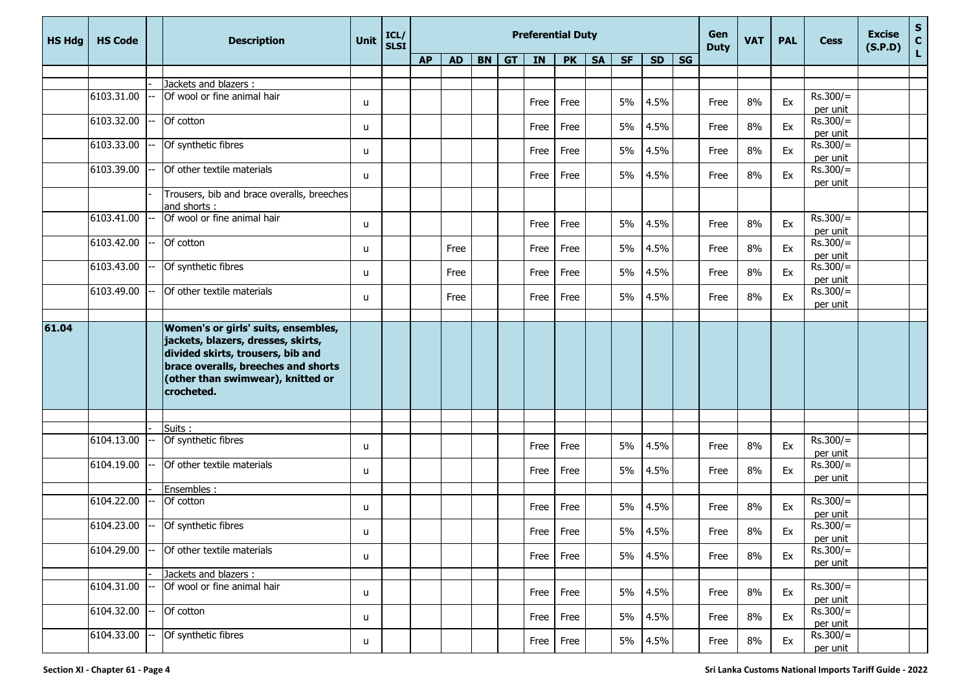| <b>HS Hdg</b> | <b>HS Code</b> |       | <b>Description</b>                                                                                                                                                                                       | <b>Unit</b> | ICL/<br><b>SLSI</b> |           |           |           |           |      | <b>Preferential Duty</b> |           |           | Gen<br><b>Duty</b> | <b>VAT</b> | <b>PAL</b> | <b>Cess</b> | <b>Excise</b><br>(S.P.D) | s<br>C<br>L            |  |  |
|---------------|----------------|-------|----------------------------------------------------------------------------------------------------------------------------------------------------------------------------------------------------------|-------------|---------------------|-----------|-----------|-----------|-----------|------|--------------------------|-----------|-----------|--------------------|------------|------------|-------------|--------------------------|------------------------|--|--|
|               |                |       |                                                                                                                                                                                                          |             |                     | <b>AP</b> | <b>AD</b> | <b>BN</b> | <b>GT</b> | IN   | <b>PK</b>                | <b>SA</b> | <b>SF</b> | <b>SD</b>          | <b>SG</b>  |            |             |                          |                        |  |  |
|               |                |       |                                                                                                                                                                                                          |             |                     |           |           |           |           |      |                          |           |           |                    |            |            |             |                          |                        |  |  |
|               | 6103.31.00     |       | Jackets and blazers :<br>Of wool or fine animal hair                                                                                                                                                     |             |                     |           |           |           |           |      |                          |           |           |                    |            |            |             |                          | $Rs.300/=$             |  |  |
|               |                |       |                                                                                                                                                                                                          | u           |                     |           |           |           |           | Free | Free                     |           | 5%        | 4.5%               |            | Free       | 8%          | Ex                       | per unit               |  |  |
|               | 6103.32.00     |       | Of cotton                                                                                                                                                                                                |             |                     |           |           |           |           |      |                          |           |           |                    |            |            |             |                          | $Rs.300/=$             |  |  |
|               |                |       |                                                                                                                                                                                                          | u           |                     |           |           |           |           | Free | Free                     |           | 5%        | 4.5%               |            | Free       | 8%          | Ex                       | per unit               |  |  |
|               | 6103.33.00     |       | Of synthetic fibres                                                                                                                                                                                      | u           |                     |           |           |           |           | Free | Free                     |           | 5%        | 4.5%               |            | Free       | 8%          | Ex                       | $Rs.300/=$<br>per unit |  |  |
|               | 6103.39.00     |       | Of other textile materials                                                                                                                                                                               | u           |                     |           |           |           |           | Free | Free                     |           | 5%        | 4.5%               |            | Free       | 8%          | Ex                       | $Rs.300/=$<br>per unit |  |  |
|               |                |       | Trousers, bib and brace overalls, breeches<br>and shorts:                                                                                                                                                |             |                     |           |           |           |           |      |                          |           |           |                    |            |            |             |                          |                        |  |  |
|               | 6103.41.00     |       | Of wool or fine animal hair                                                                                                                                                                              | u           |                     |           |           |           |           | Free | Free                     |           | 5%        | 4.5%               |            | Free       | 8%          | Ex                       | $Rs.300/=$<br>per unit |  |  |
|               | 6103.42.00     |       | Of cotton                                                                                                                                                                                                | u           |                     |           | Free      |           |           | Free | Free                     |           | 5%        | 4.5%               |            | Free       | 8%          | Ex                       | $Rs.300/=$<br>per unit |  |  |
|               | 6103.43.00     |       | Of synthetic fibres                                                                                                                                                                                      | u           |                     |           | Free      |           |           | Free | Free                     |           | 5%        | 4.5%               |            | Free       | 8%          | Ex                       | $Rs.300/=$<br>per unit |  |  |
|               | 6103.49.00     |       | Of other textile materials                                                                                                                                                                               | u           |                     |           | Free      |           |           | Free | Free                     |           | 5%        | 4.5%               |            | Free       | 8%          | Ex                       | $Rs.300/=$<br>per unit |  |  |
|               |                |       |                                                                                                                                                                                                          |             |                     |           |           |           |           |      |                          |           |           |                    |            |            |             |                          |                        |  |  |
| 61.04         |                |       | Women's or girls' suits, ensembles,<br>jackets, blazers, dresses, skirts,<br>divided skirts, trousers, bib and<br>brace overalls, breeches and shorts<br>(other than swimwear), knitted or<br>crocheted. |             |                     |           |           |           |           |      |                          |           |           |                    |            |            |             |                          |                        |  |  |
|               |                |       |                                                                                                                                                                                                          |             |                     |           |           |           |           |      |                          |           |           |                    |            |            |             |                          |                        |  |  |
|               |                |       | Suits:                                                                                                                                                                                                   |             |                     |           |           |           |           |      |                          |           |           |                    |            |            |             |                          |                        |  |  |
|               | 6104.13.00     |       | Of synthetic fibres                                                                                                                                                                                      | u           |                     |           |           |           |           | Free | Free                     |           | 5%        | 4.5%               |            | Free       | 8%          | Ex                       | $Rs.300/=$<br>per unit |  |  |
|               | 6104.19.00     |       | Of other textile materials                                                                                                                                                                               | u           |                     |           |           |           |           | Free | Free                     |           | 5%        | 4.5%               |            | Free       | 8%          | Ex                       | $Rs.300/=$<br>per unit |  |  |
|               |                |       | Ensembles :                                                                                                                                                                                              |             |                     |           |           |           |           |      |                          |           |           |                    |            |            |             |                          |                        |  |  |
|               | 6104.22.00     |       | Of cotton                                                                                                                                                                                                | u           |                     |           |           |           |           | Free | Free                     |           | 5%        | 4.5%               |            | Free       | 8%          | Ex                       | $Rs.300/=$<br>per unit |  |  |
|               | 6104.23.00     | $---$ | Of synthetic fibres                                                                                                                                                                                      | u           |                     |           |           |           |           | Free | Free                     |           | 5%        | 4.5%               |            | Free       | 8%          | Ex                       | $Rs.300/=$<br>per unit |  |  |
|               | 6104.29.00     | $-$   | Of other textile materials                                                                                                                                                                               | u           |                     |           |           |           |           | Free | Free                     |           | 5%        | 4.5%               |            | Free       | 8%          | Ex                       | $Rs.300/=$<br>per unit |  |  |
|               |                |       | Jackets and blazers :                                                                                                                                                                                    |             |                     |           |           |           |           |      |                          |           |           |                    |            |            |             |                          |                        |  |  |
|               | 6104.31.00     |       | Of wool or fine animal hair                                                                                                                                                                              | u           |                     |           |           |           |           | Free | Free                     |           | 5%        | 4.5%               |            | Free       | 8%          | Ex                       | $Rs.300/=$<br>per unit |  |  |
|               | 6104.32.00     |       | Of cotton                                                                                                                                                                                                | u           |                     |           |           |           |           | Free | Free                     |           | 5%        | 4.5%               |            | Free       | 8%          | Ex                       | $Rs.300/=$<br>per unit |  |  |
|               | 6104.33.00     |       | Of synthetic fibres                                                                                                                                                                                      | u           |                     |           |           |           |           | Free | Free                     |           | 5%        | 4.5%               |            | Free       | 8%          | Ex                       | $Rs.300/=$<br>per unit |  |  |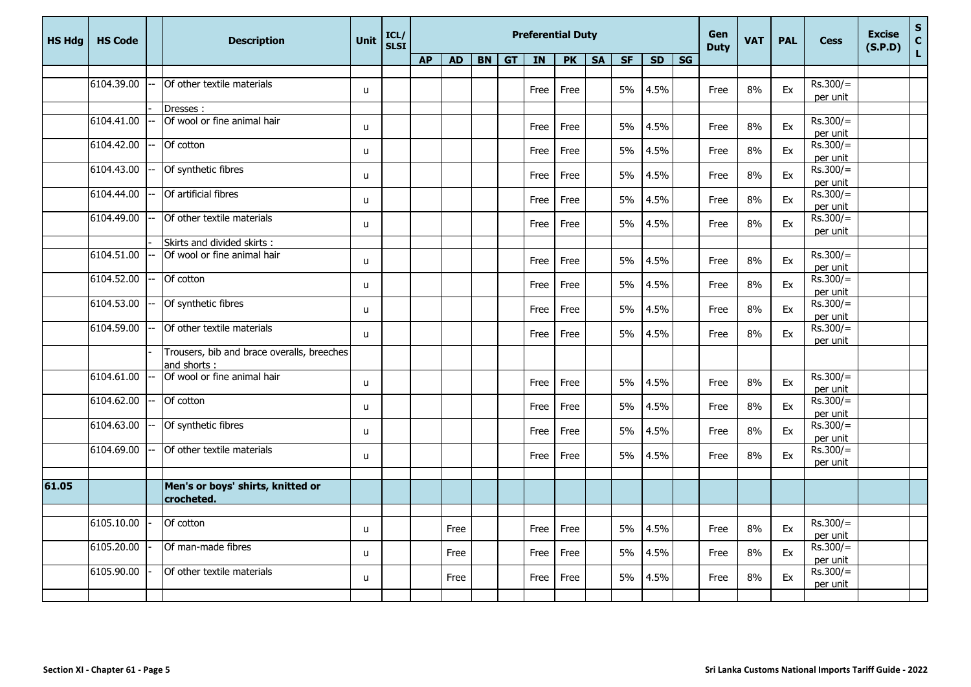| <b>HS Hdg</b> | <b>HS Code</b> |               | <b>Description</b>                                        | <b>Unit</b>  | ICL/<br><b>SLSI</b> |           |           |           |           |      | <b>Preferential Duty</b> |           |           |           |           | Gen<br><b>Duty</b> | <b>VAT</b> | <b>PAL</b> | <b>Cess</b>            | <b>Excise</b><br>(S.P.D) | S<br>C<br>L |
|---------------|----------------|---------------|-----------------------------------------------------------|--------------|---------------------|-----------|-----------|-----------|-----------|------|--------------------------|-----------|-----------|-----------|-----------|--------------------|------------|------------|------------------------|--------------------------|-------------|
|               |                |               |                                                           |              |                     | <b>AP</b> | <b>AD</b> | <b>BN</b> | <b>GT</b> | IN   | <b>PK</b>                | <b>SA</b> | <b>SF</b> | <b>SD</b> | <b>SG</b> |                    |            |            |                        |                          |             |
|               |                |               |                                                           |              |                     |           |           |           |           |      |                          |           |           |           |           |                    |            |            |                        |                          |             |
|               | 6104.39.00     |               | Of other textile materials                                | u            |                     |           |           |           |           | Free | Free                     |           | 5%        | 4.5%      |           | Free               | 8%         | Ex         | $Rs.300/=$<br>per unit |                          |             |
|               |                |               | Dresses:                                                  |              |                     |           |           |           |           |      |                          |           |           |           |           |                    |            |            |                        |                          |             |
|               | 6104.41.00     |               | Of wool or fine animal hair                               | u            |                     |           |           |           |           | Free | Free                     |           | 5%        | 4.5%      |           | Free               | 8%         | Ex         | $Rs.300/=$<br>per unit |                          |             |
|               | 6104.42.00     |               | Of cotton                                                 | u            |                     |           |           |           |           | Free | Free                     |           | 5%        | 4.5%      |           | Free               | $8\%$      | Ex         | $Rs.300/=$<br>per unit |                          |             |
|               | 6104.43.00     |               | Of synthetic fibres                                       | u            |                     |           |           |           |           | Free | Free                     |           | 5%        | 4.5%      |           | Free               | 8%         | Ex         | $Rs.300/=$<br>per unit |                          |             |
|               | 6104.44.00     |               | Of artificial fibres                                      | u            |                     |           |           |           |           | Free | Free                     |           | 5%        | 4.5%      |           | Free               | 8%         | Ex         | $Rs.300/=$<br>per unit |                          |             |
|               | 6104.49.00     |               | Of other textile materials                                | u            |                     |           |           |           |           | Free | Free                     |           | 5%        | 4.5%      |           | Free               | 8%         | Ex         | $Rs.300/=$<br>per unit |                          |             |
|               |                |               | Skirts and divided skirts :                               |              |                     |           |           |           |           |      |                          |           |           |           |           |                    |            |            |                        |                          |             |
|               | 6104.51.00     |               | Of wool or fine animal hair                               | u            |                     |           |           |           |           | Free | Free                     |           | 5%        | 4.5%      |           | Free               | 8%         | Ex         | $Rs.300/=$<br>per unit |                          |             |
|               | 6104.52.00     |               | Of cotton                                                 | u            |                     |           |           |           |           | Free | Free                     |           | 5%        | 4.5%      |           | Free               | 8%         | Ex         | $Rs.300/=$<br>per unit |                          |             |
|               | 6104.53.00     |               | Of synthetic fibres                                       | u            |                     |           |           |           |           | Free | Free                     |           | 5%        | 4.5%      |           | Free               | 8%         | Ex         | $Rs.300/=$<br>per unit |                          |             |
|               | 6104.59.00     |               | Of other textile materials                                | $\mathsf{u}$ |                     |           |           |           |           | Free | Free                     |           | 5%        | 4.5%      |           | Free               | 8%         | Ex         | $Rs.300/=$<br>per unit |                          |             |
|               |                |               | Trousers, bib and brace overalls, breeches<br>and shorts: |              |                     |           |           |           |           |      |                          |           |           |           |           |                    |            |            |                        |                          |             |
|               | 6104.61.00     |               | Of wool or fine animal hair                               | u            |                     |           |           |           |           | Free | Free                     |           | 5%        | 4.5%      |           | Free               | $8\%$      | Ex         | $Rs.300/=$<br>per unit |                          |             |
|               | 6104.62.00     | $\sim$ $\sim$ | Of cotton                                                 | u            |                     |           |           |           |           | Free | Free                     |           | 5%        | 4.5%      |           | Free               | 8%         | Ex         | $Rs.300/=$<br>per unit |                          |             |
|               | 6104.63.00     | $  \,$        | Of synthetic fibres                                       | u            |                     |           |           |           |           | Free | Free                     |           | 5%        | 4.5%      |           | Free               | 8%         | Ex         | $Rs.300/=$<br>per unit |                          |             |
|               | 6104.69.00     |               | Of other textile materials                                | $\mathsf{u}$ |                     |           |           |           |           | Free | Free                     |           | 5%        | 4.5%      |           | Free               | 8%         | Ex         | $Rs.300/=$<br>per unit |                          |             |
|               |                |               |                                                           |              |                     |           |           |           |           |      |                          |           |           |           |           |                    |            |            |                        |                          |             |
| 61.05         |                |               | Men's or boys' shirts, knitted or<br>crocheted.           |              |                     |           |           |           |           |      |                          |           |           |           |           |                    |            |            |                        |                          |             |
|               |                |               |                                                           |              |                     |           |           |           |           |      |                          |           |           |           |           |                    |            |            |                        |                          |             |
|               | 6105.10.00     |               | Of cotton                                                 | u            |                     |           | Free      |           |           | Free | Free                     |           | 5%        | 4.5%      |           | Free               | 8%         | Ex         | $Rs.300/=$<br>per unit |                          |             |
|               | 6105.20.00     |               | Of man-made fibres                                        | u            |                     |           | Free      |           |           | Free | Free                     |           | 5%        | 4.5%      |           | Free               | $8\%$      | Ex         | $Rs.300/=$<br>per unit |                          |             |
|               | 6105.90.00     |               | Of other textile materials                                | u            |                     |           | Free      |           |           | Free | Free                     |           | 5%        | 4.5%      |           | Free               | 8%         | Ex         | $Rs.300/=$<br>per unit |                          |             |
|               |                |               |                                                           |              |                     |           |           |           |           |      |                          |           |           |           |           |                    |            |            |                        |                          |             |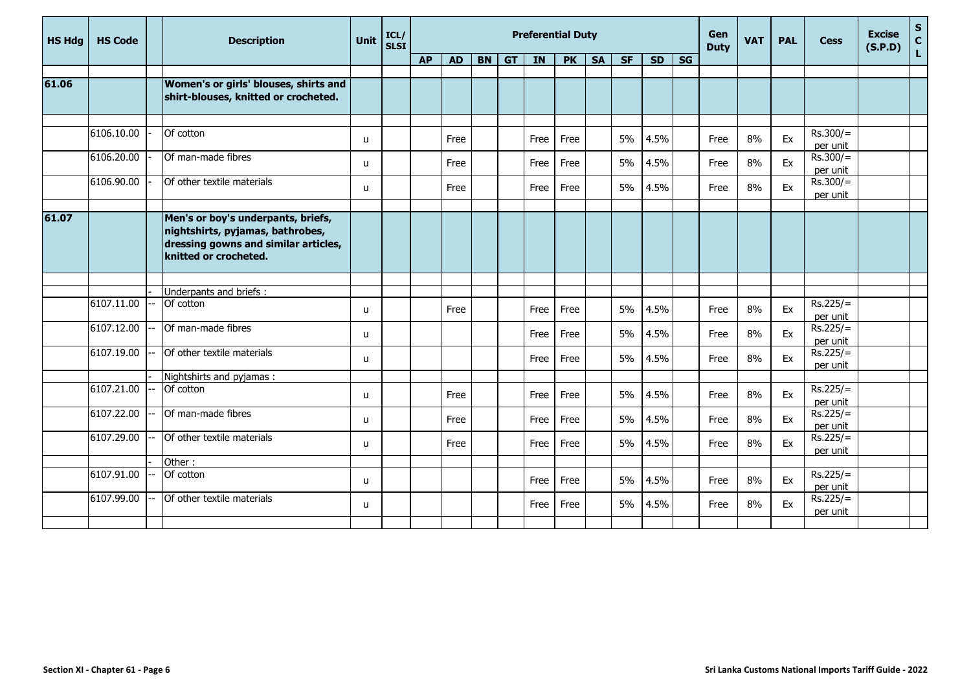| <b>HS Hdg</b> | <b>HS Code</b> | <b>Description</b>                                                                                                                      | Unit     | ICL/<br><b>SLSI</b> |           |           |           |           |      | <b>Preferential Duty</b> |           |           |           |           | Gen<br><b>Duty</b> | <b>VAT</b> | <b>PAL</b> | <b>Cess</b>            | <b>Excise</b><br>(S.P.D) | $S$<br>$C$   |
|---------------|----------------|-----------------------------------------------------------------------------------------------------------------------------------------|----------|---------------------|-----------|-----------|-----------|-----------|------|--------------------------|-----------|-----------|-----------|-----------|--------------------|------------|------------|------------------------|--------------------------|--------------|
|               |                |                                                                                                                                         |          |                     | <b>AP</b> | <b>AD</b> | <b>BN</b> | <b>GT</b> | IN   | <b>PK</b>                | <b>SA</b> | <b>SF</b> | <b>SD</b> | <b>SG</b> |                    |            |            |                        |                          | $\mathbf{L}$ |
|               |                |                                                                                                                                         |          |                     |           |           |           |           |      |                          |           |           |           |           |                    |            |            |                        |                          |              |
| 61.06         |                | Women's or girls' blouses, shirts and<br>shirt-blouses, knitted or crocheted.                                                           |          |                     |           |           |           |           |      |                          |           |           |           |           |                    |            |            |                        |                          |              |
|               |                |                                                                                                                                         |          |                     |           |           |           |           |      |                          |           |           |           |           |                    |            |            |                        |                          |              |
|               | 6106.10.00     | Of cotton                                                                                                                               | u        |                     |           | Free      |           |           | Free | Free                     |           | 5%        | 4.5%      |           | Free               | 8%         | Ex         | $Rs.300/=$<br>per unit |                          |              |
|               | 6106.20.00     | Of man-made fibres                                                                                                                      | u        |                     |           | Free      |           |           | Free | Free                     |           | 5%        | 4.5%      |           | Free               | 8%         | Ex         | $Rs.300/=$<br>per unit |                          |              |
|               | 6106.90.00     | Of other textile materials                                                                                                              | u        |                     |           | Free      |           |           | Free | Free                     |           | 5%        | 4.5%      |           | Free               | 8%         | Ex         | $Rs.300/=$<br>per unit |                          |              |
|               |                |                                                                                                                                         |          |                     |           |           |           |           |      |                          |           |           |           |           |                    |            |            |                        |                          |              |
| 61.07         |                | Men's or boy's underpants, briefs,<br>nightshirts, pyjamas, bathrobes,<br>dressing gowns and similar articles,<br>knitted or crocheted. |          |                     |           |           |           |           |      |                          |           |           |           |           |                    |            |            |                        |                          |              |
|               |                |                                                                                                                                         |          |                     |           |           |           |           |      |                          |           |           |           |           |                    |            |            |                        |                          |              |
|               |                | Underpants and briefs :                                                                                                                 |          |                     |           |           |           |           |      |                          |           |           |           |           |                    |            |            |                        |                          |              |
|               | 6107.11.00     | Of cotton                                                                                                                               | <b>u</b> |                     |           | Free      |           |           | Free | Free                     |           | 5%        | 4.5%      |           | Free               | 8%         | Ex         | $Rs.225/=$<br>per unit |                          |              |
|               | 6107.12.00     | Of man-made fibres                                                                                                                      | u        |                     |           |           |           |           | Free | Free                     |           | 5%        | 4.5%      |           | Free               | 8%         | Ex         | $Rs.225/=$<br>per unit |                          |              |
|               | 6107.19.00     | Of other textile materials                                                                                                              | <b>u</b> |                     |           |           |           |           | Free | Free                     |           | 5%        | 4.5%      |           | Free               | 8%         | Ex         | $Rs.225/=$<br>per unit |                          |              |
|               |                | Nightshirts and pyjamas:                                                                                                                |          |                     |           |           |           |           |      |                          |           |           |           |           |                    |            |            |                        |                          |              |
|               | 6107.21.00     | Of cotton                                                                                                                               | u        |                     |           | Free      |           |           | Free | Free                     |           | 5%        | 4.5%      |           | Free               | 8%         | Ex         | $Rs.225/=$<br>per unit |                          |              |
|               | 6107.22.00     | Of man-made fibres                                                                                                                      | <b>u</b> |                     |           | Free      |           |           | Free | Free                     |           | 5%        | 4.5%      |           | Free               | 8%         | Ex         | $Rs.225/=$<br>per unit |                          |              |
|               | 6107.29.00     | Of other textile materials                                                                                                              | u        |                     |           | Free      |           |           | Free | Free                     |           | 5%        | 4.5%      |           | Free               | 8%         | Ex         | $Rs.225/=$<br>per unit |                          |              |
|               |                | Other:                                                                                                                                  |          |                     |           |           |           |           |      |                          |           |           |           |           |                    |            |            |                        |                          |              |
|               | 6107.91.00     | Of cotton                                                                                                                               | u        |                     |           |           |           |           | Free | Free                     |           | 5%        | 4.5%      |           | Free               | 8%         | Ex         | $Rs.225/=$<br>per unit |                          |              |
|               | 6107.99.00     | Of other textile materials                                                                                                              | u        |                     |           |           |           |           | Free | Free                     |           | 5%        | 4.5%      |           | Free               | 8%         | Ex         | $Rs.225/=$<br>per unit |                          |              |
|               |                |                                                                                                                                         |          |                     |           |           |           |           |      |                          |           |           |           |           |                    |            |            |                        |                          |              |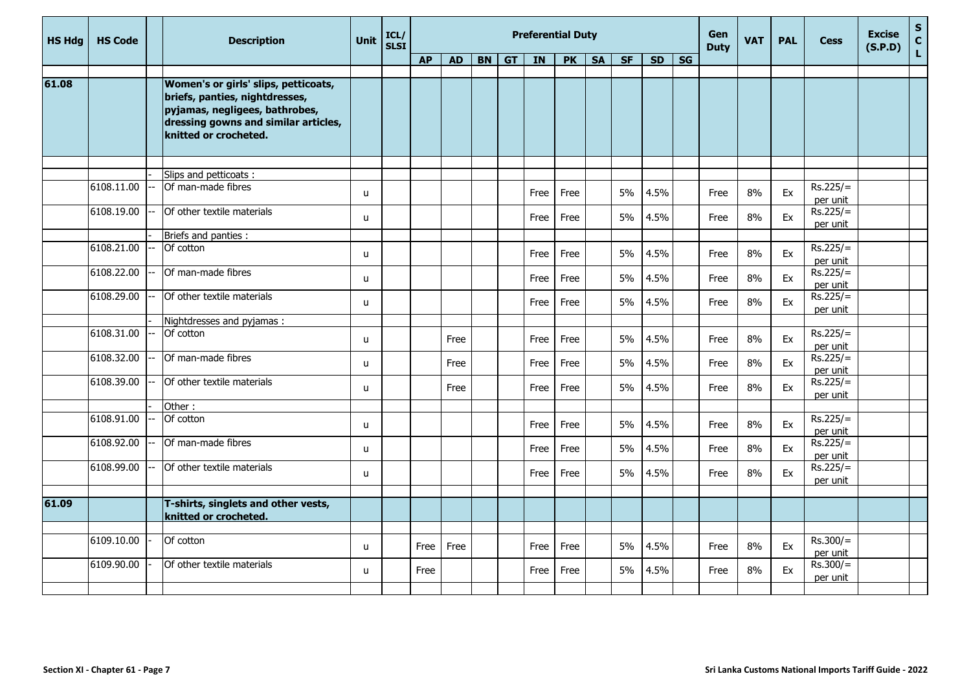| <b>HS Hdg</b> | <b>HS Code</b><br><b>Description</b> |  |                                                                                                                                                                           | Unit | ICL/<br><b>SLSI</b> |           |           |           |           | <b>Preferential Duty</b> |           |           |           |           |                        | Gen<br><b>Duty</b> | <b>VAT</b> | <b>PAL</b> | <b>Cess</b>                        | <b>Excise</b><br>(S.P.D) | $\mathsf{s}$<br>$\mathbf{C}$ |
|---------------|--------------------------------------|--|---------------------------------------------------------------------------------------------------------------------------------------------------------------------------|------|---------------------|-----------|-----------|-----------|-----------|--------------------------|-----------|-----------|-----------|-----------|------------------------|--------------------|------------|------------|------------------------------------|--------------------------|------------------------------|
|               |                                      |  |                                                                                                                                                                           |      |                     | <b>AP</b> | <b>AD</b> | <b>BN</b> | <b>GT</b> | IN                       | <b>PK</b> | <b>SA</b> | <b>SF</b> | <b>SD</b> | $\overline{\text{SG}}$ |                    |            |            |                                    |                          | $\mathsf{L}$                 |
| 61.08         |                                      |  | Women's or girls' slips, petticoats,<br>briefs, panties, nightdresses,<br>pyjamas, negligees, bathrobes,<br>dressing gowns and similar articles,<br>knitted or crocheted. |      |                     |           |           |           |           |                          |           |           |           |           |                        |                    |            |            |                                    |                          |                              |
|               |                                      |  | Slips and petticoats:                                                                                                                                                     |      |                     |           |           |           |           |                          |           |           |           |           |                        |                    |            |            |                                    |                          |                              |
|               | 6108.11.00                           |  | Of man-made fibres                                                                                                                                                        | u    |                     |           |           |           |           | Free                     | Free      |           | 5%        | 4.5%      |                        | Free               | 8%         | Ex         | $Rs.225/=$<br>per unit             |                          |                              |
|               | 6108.19.00                           |  | Of other textile materials                                                                                                                                                | u    |                     |           |           |           |           | Free                     | Free      |           | 5%        | 4.5%      |                        | Free               | 8%         | Ex         | $Rs.225/=$<br>per unit             |                          |                              |
|               | 6108.21.00                           |  | Briefs and panties :<br>Of cotton                                                                                                                                         | u    |                     |           |           |           |           | Free                     | Free      |           | 5%        | 4.5%      |                        | Free               | 8%         | Ex         | $Rs.225/=$<br>per unit             |                          |                              |
|               | 6108.22.00                           |  | Of man-made fibres                                                                                                                                                        | u    |                     |           |           |           |           | Free                     | Free      |           | 5%        | 4.5%      |                        | Free               | 8%         | Ex         | $Rs.225/=$<br>per unit             |                          |                              |
|               | 6108.29.00                           |  | Of other textile materials                                                                                                                                                | u    |                     |           |           |           |           | Free                     | Free      |           | 5%        | 4.5%      |                        | Free               | 8%         | Ex         | $Rs.225/=$<br>per unit             |                          |                              |
|               |                                      |  | Nightdresses and pyjamas :                                                                                                                                                |      |                     |           |           |           |           |                          |           |           |           |           |                        |                    |            |            |                                    |                          |                              |
|               | 6108.31.00                           |  | Of cotton                                                                                                                                                                 | u    |                     |           | Free      |           |           | Free                     | Free      |           | 5%        | 4.5%      |                        | Free               | 8%         | Ex         | $Rs.225/=$<br>per unit             |                          |                              |
|               | 6108.32.00                           |  | Of man-made fibres                                                                                                                                                        | u    |                     |           | Free      |           |           | Free                     | Free      |           | 5%        | 4.5%      |                        | Free               | 8%         | Ex         | $Rs.225/=$<br>per unit             |                          |                              |
|               | 6108.39.00                           |  | Of other textile materials                                                                                                                                                | u    |                     |           | Free      |           |           | Free                     | Free      |           | 5%        | 4.5%      |                        | Free               | 8%         | Ex         | $Rs.225/=$<br>per unit             |                          |                              |
|               |                                      |  | Other:                                                                                                                                                                    |      |                     |           |           |           |           |                          |           |           |           |           |                        |                    |            |            |                                    |                          |                              |
|               | 6108.91.00                           |  | Of cotton                                                                                                                                                                 | u    |                     |           |           |           |           | Free                     | Free      |           | 5%        | 4.5%      |                        | Free               | 8%         | Ex         | $Rs.225/=$<br>per unit             |                          |                              |
|               | 6108.92.00                           |  | Of man-made fibres                                                                                                                                                        | u    |                     |           |           |           |           | Free                     | Free      |           | 5%        | 4.5%      |                        | Free               | 8%         | Ex         | $Rs.225/=$<br>per unit             |                          |                              |
|               | 6108.99.00                           |  | Of other textile materials                                                                                                                                                | u.   |                     |           |           |           |           | Free                     | Free      |           | 5%        | 4.5%      |                        | Free               | 8%         | Ex         | $Rs.225/=$<br>per unit             |                          |                              |
| 61.09         |                                      |  | T-shirts, singlets and other vests,<br>knitted or crocheted.                                                                                                              |      |                     |           |           |           |           |                          |           |           |           |           |                        |                    |            |            |                                    |                          |                              |
|               | 6109.10.00                           |  | Of cotton                                                                                                                                                                 | u    |                     | Free      | Free      |           |           | Free                     | Free      |           | 5%        | 4.5%      |                        | Free               | 8%         | Ex         | $Rs.300/=$                         |                          |                              |
|               | 6109.90.00                           |  | Of other textile materials                                                                                                                                                | u    |                     | Free      |           |           |           | Free                     | Free      |           | 5%        | 4.5%      |                        | Free               | 8%         | Ex         | per unit<br>$Rs.300/=$<br>per unit |                          |                              |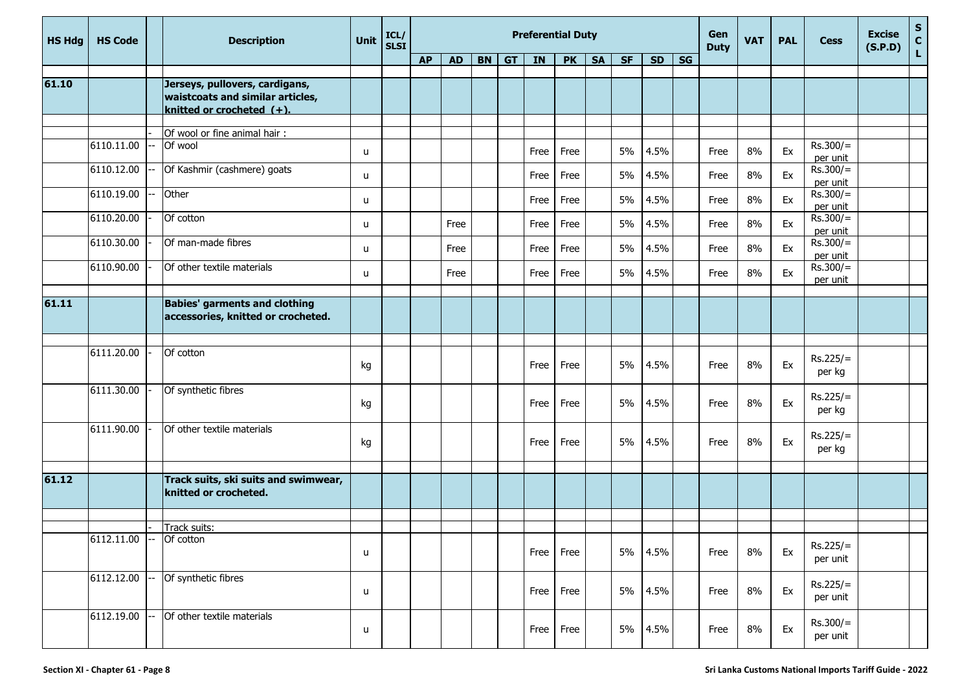| <b>HS Hdg</b> | <b>HS Code</b>      | <b>Description</b>                                                                                 | Unit | ICL/<br>SLSI |           |           |           |           |           | <b>Preferential Duty</b> |           |           |           |    | Gen<br><b>Duty</b> | <b>VAT</b> | <b>PAL</b> | <b>Cess</b>            | <b>Excise</b><br>(S.P.D) | ${\bf S}$<br>$\mathbf C$ |
|---------------|---------------------|----------------------------------------------------------------------------------------------------|------|--------------|-----------|-----------|-----------|-----------|-----------|--------------------------|-----------|-----------|-----------|----|--------------------|------------|------------|------------------------|--------------------------|--------------------------|
|               |                     |                                                                                                    |      |              | <b>AP</b> | <b>AD</b> | <b>BN</b> | <b>GT</b> | IN        | <b>PK</b>                | <b>SA</b> | <b>SF</b> | <b>SD</b> | SG |                    |            |            |                        |                          | L.                       |
|               |                     |                                                                                                    |      |              |           |           |           |           |           |                          |           |           |           |    |                    |            |            |                        |                          |                          |
| 61.10         |                     | Jerseys, pullovers, cardigans,<br>waistcoats and similar articles,<br>knitted or crocheted $(+)$ . |      |              |           |           |           |           |           |                          |           |           |           |    |                    |            |            |                        |                          |                          |
|               |                     | Of wool or fine animal hair:                                                                       |      |              |           |           |           |           |           |                          |           |           |           |    |                    |            |            |                        |                          |                          |
|               | 6110.11.00          | Of wool                                                                                            | u    |              |           |           |           |           | Free      | Free                     |           | 5%        | 4.5%      |    | Free               | 8%         | Ex         | $Rs.300/=$<br>per unit |                          |                          |
|               | 6110.12.00          | Of Kashmir (cashmere) goats                                                                        | u    |              |           |           |           |           | Free      | Free                     |           | 5%        | 4.5%      |    | Free               | 8%         | Ex         | $Rs.300/=$<br>per unit |                          |                          |
|               | 6110.19.00          | Other                                                                                              | u    |              |           |           |           |           | Free      | Free                     |           | 5%        | 4.5%      |    | Free               | 8%         | Ex         | $Rs.300/=$<br>per unit |                          |                          |
|               | 6110.20.00          | Of cotton                                                                                          | u    |              |           | Free      |           |           | Free      | Free                     |           | 5%        | 4.5%      |    | Free               | 8%         | Ex         | $Rs.300/=$<br>per unit |                          |                          |
|               | 6110.30.00          | Of man-made fibres                                                                                 | u    |              |           | Free      |           |           | Free      | Free                     |           | 5%        | 4.5%      |    | Free               | 8%         | Ex         | $Rs.300/=$<br>per unit |                          |                          |
|               | 6110.90.00          | Of other textile materials                                                                         | u.   |              |           | Free      |           |           | Free      | Free                     |           | 5%        | 4.5%      |    | Free               | 8%         | Ex         | $Rs.300/=$<br>per unit |                          |                          |
| 61.11         |                     | <b>Babies' garments and clothing</b><br>accessories, knitted or crocheted.                         |      |              |           |           |           |           |           |                          |           |           |           |    |                    |            |            |                        |                          |                          |
|               | $\sqrt{61}11.20.00$ | Of cotton                                                                                          | kg   |              |           |           |           |           | Free      | Free                     |           | 5%        | 4.5%      |    | Free               | 8%         | Ex         | $Rs.225/=$<br>per kg   |                          |                          |
|               | 6111.30.00          | Of synthetic fibres                                                                                | kg   |              |           |           |           |           | Free      | Free                     |           | 5%        | 4.5%      |    | Free               | 8%         | Ex         | $Rs.225/=$<br>per kg   |                          |                          |
|               | 6111.90.00          | Of other textile materials                                                                         | kg   |              |           |           |           |           | Free      | Free                     |           | 5%        | 4.5%      |    | Free               | 8%         | Ex         | $Rs.225/=$<br>per kg   |                          |                          |
| 61.12         |                     | Track suits, ski suits and swimwear,<br>knitted or crocheted.                                      |      |              |           |           |           |           |           |                          |           |           |           |    |                    |            |            |                        |                          |                          |
|               |                     |                                                                                                    |      |              |           |           |           |           |           |                          |           |           |           |    |                    |            |            |                        |                          |                          |
|               | 6112.11.00          | Track suits:<br>Of cotton                                                                          |      |              |           |           |           |           |           |                          |           |           |           |    |                    |            |            |                        |                          |                          |
|               |                     |                                                                                                    | u    |              |           |           |           |           | Free      | Free                     |           | 5%        | 4.5%      |    | Free               | 8%         | Ex         | $Rs.225/=$<br>per unit |                          |                          |
|               | 6112.12.00          | Of synthetic fibres                                                                                | u    |              |           |           |           |           | Free      | Free                     |           | 5%        | 4.5%      |    | Free               | 8%         | Ex         | $Rs.225/=$<br>per unit |                          |                          |
|               | 6112.19.00          | Of other textile materials                                                                         | u    |              |           |           |           |           | Free Free |                          |           | 5%        | 4.5%      |    | Free               | 8%         | Ex         | $Rs.300/=$<br>per unit |                          |                          |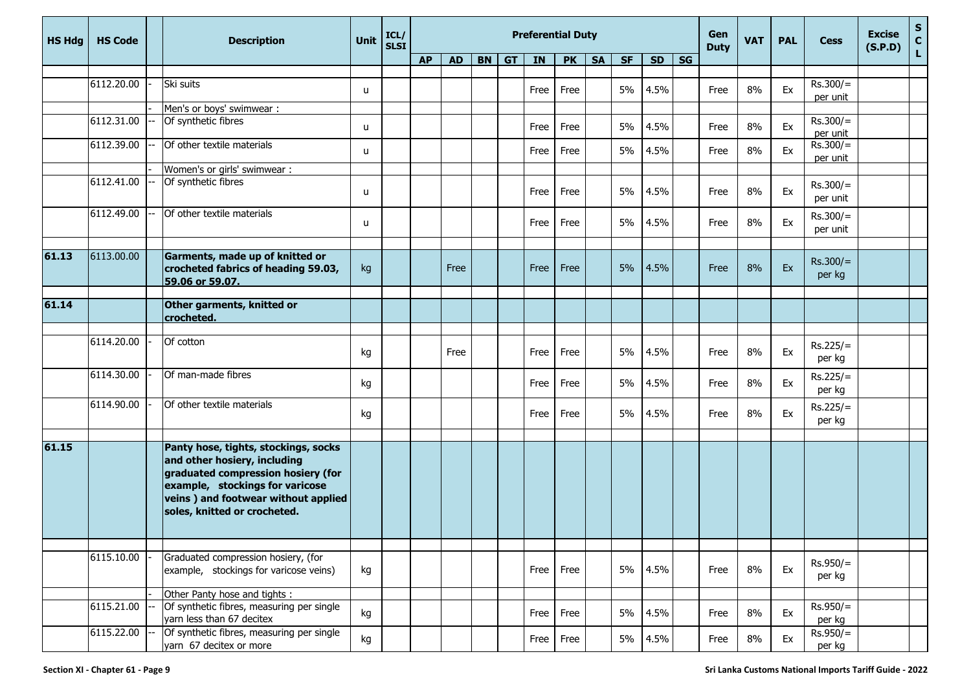| <b>HS Hdg</b> | <b>HS Code</b> | <b>Description</b>                                                                                                                                                                                                   | <b>Unit</b> | ICL/<br><b>SLSI</b> |           |           |           |           | <b>Preferential Duty</b> |               |           |           |           |    | Gen<br><b>Duty</b> | <b>VAT</b> | <b>PAL</b> | <b>Cess</b>            | <b>Excise</b><br>(S.P.D) | s<br>C<br>L. |
|---------------|----------------|----------------------------------------------------------------------------------------------------------------------------------------------------------------------------------------------------------------------|-------------|---------------------|-----------|-----------|-----------|-----------|--------------------------|---------------|-----------|-----------|-----------|----|--------------------|------------|------------|------------------------|--------------------------|--------------|
|               |                |                                                                                                                                                                                                                      |             |                     | <b>AP</b> | <b>AD</b> | <b>BN</b> | <b>GT</b> | IN                       | <b>PK</b>     | <b>SA</b> | <b>SF</b> | <b>SD</b> | SG |                    |            |            |                        |                          |              |
|               | 6112.20.00     | Ski suits                                                                                                                                                                                                            | u           |                     |           |           |           |           | Free                     | Free          |           | 5%        | 4.5%      |    | Free               | 8%         | Ex         | $Rs.300/=$<br>per unit |                          |              |
|               |                | Men's or boys' swimwear :                                                                                                                                                                                            |             |                     |           |           |           |           |                          |               |           |           |           |    |                    |            |            |                        |                          |              |
|               | 6112.31.00     | Of synthetic fibres                                                                                                                                                                                                  | u           |                     |           |           |           |           | Free                     | Free          |           | 5%        | 4.5%      |    | Free               | 8%         | Ex         | $Rs.300/=$<br>per unit |                          |              |
|               | 6112.39.00     | Of other textile materials                                                                                                                                                                                           | u           |                     |           |           |           |           | Free                     | Free          |           | 5%        | 4.5%      |    | Free               | 8%         | Ex         | $Rs.300/=$<br>per unit |                          |              |
|               |                | Women's or girls' swimwear :                                                                                                                                                                                         |             |                     |           |           |           |           |                          |               |           |           |           |    |                    |            |            |                        |                          |              |
|               | 6112.41.00     | Of synthetic fibres                                                                                                                                                                                                  | u           |                     |           |           |           |           | Free                     | Free          |           | 5%        | 4.5%      |    | Free               | 8%         | Ex         | $Rs.300/=$<br>per unit |                          |              |
|               | 6112.49.00     | Of other textile materials                                                                                                                                                                                           | u           |                     |           |           |           |           | Free                     | Free          |           | 5%        | 4.5%      |    | Free               | 8%         | Ex         | $Rs.300/=$<br>per unit |                          |              |
|               |                |                                                                                                                                                                                                                      |             |                     |           |           |           |           |                          |               |           |           |           |    |                    |            |            |                        |                          |              |
| 61.13         | 6113.00.00     | Garments, made up of knitted or<br>crocheted fabrics of heading 59.03,<br>59.06 or 59.07.                                                                                                                            | kg          |                     |           | Free      |           |           | Free                     | Free          |           | 5%        | 4.5%      |    | Free               | 8%         | Ex         | $Rs.300/=$<br>per kg   |                          |              |
|               |                |                                                                                                                                                                                                                      |             |                     |           |           |           |           |                          |               |           |           |           |    |                    |            |            |                        |                          |              |
| 61.14         |                | Other garments, knitted or<br>crocheted.                                                                                                                                                                             |             |                     |           |           |           |           |                          |               |           |           |           |    |                    |            |            |                        |                          |              |
|               | 6114.20.00     | Of cotton                                                                                                                                                                                                            |             |                     |           |           |           |           |                          |               |           |           |           |    |                    |            |            |                        |                          |              |
|               |                |                                                                                                                                                                                                                      | kg          |                     |           | Free      |           |           | Free                     | Free          |           | 5%        | 4.5%      |    | Free               | 8%         | Ex         | $Rs.225/=$<br>per kg   |                          |              |
|               | 6114.30.00     | Of man-made fibres                                                                                                                                                                                                   | kg          |                     |           |           |           |           | Free                     | Free          |           | 5%        | 4.5%      |    | Free               | 8%         | Ex         | $Rs.225/=$<br>per kg   |                          |              |
|               | 6114.90.00     | Of other textile materials                                                                                                                                                                                           | kg          |                     |           |           |           |           | Free                     | Free          |           | 5%        | 4.5%      |    | Free               | 8%         | Ex         | $Rs.225/=$<br>per kg   |                          |              |
|               |                |                                                                                                                                                                                                                      |             |                     |           |           |           |           |                          |               |           |           |           |    |                    |            |            |                        |                          |              |
| 61.15         |                | Panty hose, tights, stockings, socks<br>and other hosiery, including<br>graduated compression hosiery (for<br>example, stockings for varicose<br>veins) and footwear without applied<br>soles, knitted or crocheted. |             |                     |           |           |           |           |                          |               |           |           |           |    |                    |            |            |                        |                          |              |
|               |                |                                                                                                                                                                                                                      |             |                     |           |           |           |           |                          |               |           |           |           |    |                    |            |            |                        |                          |              |
|               | 6115.10.00     | Graduated compression hosiery, (for<br>example, stockings for varicose veins)                                                                                                                                        | kg          |                     |           |           |           |           | Free                     | Free          |           | 5%        | 4.5%      |    | Free               | 8%         | Ex         | $Rs.950/=$<br>per kg   |                          |              |
|               |                | Other Panty hose and tights :                                                                                                                                                                                        |             |                     |           |           |           |           |                          |               |           |           |           |    |                    |            |            |                        |                          |              |
|               | 6115.21.00     | Of synthetic fibres, measuring per single<br>yarn less than 67 decitex                                                                                                                                               | kg          |                     |           |           |           |           | Free                     | Free          |           | 5%        | 4.5%      |    | Free               | 8%         | Ex         | $Rs.950/=$<br>per kg   |                          |              |
|               | 6115.22.00     | Of synthetic fibres, measuring per single<br>yarn 67 decitex or more                                                                                                                                                 | kg          |                     |           |           |           |           |                          | $Free$   Free |           | 5%        | 4.5%      |    | Free               | 8%         | Ex         | $Rs.950/=$<br>per kg   |                          |              |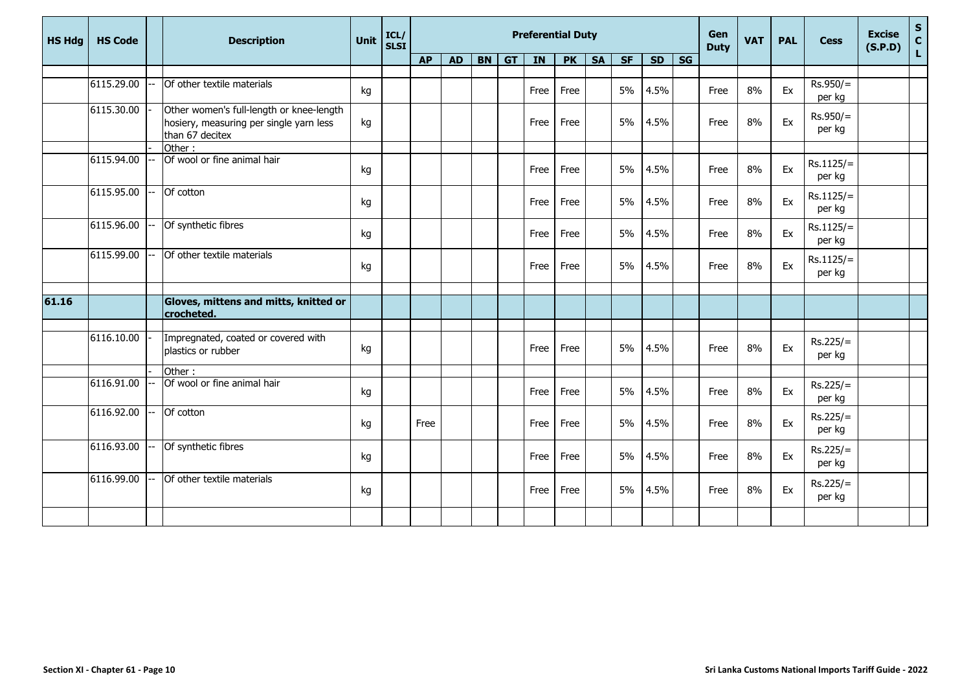| <b>HS Hdg</b> | <b>HS Code</b> |     | <b>Description</b>                                                                                     | Unit | ICL/<br><b>SLSI</b> |           |           |           |           |           | <b>Preferential Duty</b> |           |           |           |    | <b>Gen</b><br><b>Duty</b> | <b>VAT</b> | <b>PAL</b> | <b>Cess</b>           | <b>Excise</b><br>(S.P.D) | S<br>C<br>L |
|---------------|----------------|-----|--------------------------------------------------------------------------------------------------------|------|---------------------|-----------|-----------|-----------|-----------|-----------|--------------------------|-----------|-----------|-----------|----|---------------------------|------------|------------|-----------------------|--------------------------|-------------|
|               |                |     |                                                                                                        |      |                     | <b>AP</b> | <b>AD</b> | <b>BN</b> | <b>GT</b> | <b>IN</b> | <b>PK</b>                | <b>SA</b> | <b>SF</b> | <b>SD</b> | SG |                           |            |            |                       |                          |             |
|               |                |     |                                                                                                        |      |                     |           |           |           |           |           |                          |           |           |           |    |                           |            |            |                       |                          |             |
|               | 6115.29.00     |     | Of other textile materials                                                                             | kg   |                     |           |           |           |           | Free      | Free                     |           | 5%        | 4.5%      |    | Free                      | 8%         | Ex         | $Rs.950/=$<br>per kg  |                          |             |
|               | 6115.30.00     |     | Other women's full-length or knee-length<br>hosiery, measuring per single yarn less<br>than 67 decitex | kg   |                     |           |           |           |           | Free      | Free                     |           | 5%        | 4.5%      |    | Free                      | 8%         | Ex         | $Rs.950/=$<br>per kg  |                          |             |
|               |                |     | $\overline{Other}$ :                                                                                   |      |                     |           |           |           |           |           |                          |           |           |           |    |                           |            |            |                       |                          |             |
|               | 6115.94.00     |     | Of wool or fine animal hair                                                                            | kg   |                     |           |           |           |           | Free      | Free                     |           | 5%        | 4.5%      |    | Free                      | 8%         | Ex         | $Rs.1125/=$<br>per kg |                          |             |
|               | 6115.95.00     | $-$ | Of cotton                                                                                              | kg   |                     |           |           |           |           | Free      | Free                     |           | 5%        | 4.5%      |    | Free                      | 8%         | Ex         | $Rs.1125/=$<br>per kg |                          |             |
|               | 6115.96.00     |     | Of synthetic fibres                                                                                    | kg   |                     |           |           |           |           | Free      | Free                     |           | 5%        | 4.5%      |    | Free                      | 8%         | Ex         | $Rs.1125/=$<br>per kg |                          |             |
|               | 6115.99.00     |     | Of other textile materials                                                                             | kg   |                     |           |           |           |           | Free      | Free                     |           | 5%        | 4.5%      |    | Free                      | 8%         | Ex         | $Rs.1125/=$<br>per kg |                          |             |
|               |                |     |                                                                                                        |      |                     |           |           |           |           |           |                          |           |           |           |    |                           |            |            |                       |                          |             |
| 61.16         |                |     | Gloves, mittens and mitts, knitted or<br>crocheted.                                                    |      |                     |           |           |           |           |           |                          |           |           |           |    |                           |            |            |                       |                          |             |
|               |                |     |                                                                                                        |      |                     |           |           |           |           |           |                          |           |           |           |    |                           |            |            |                       |                          |             |
|               | 6116.10.00     |     | Impregnated, coated or covered with<br>plastics or rubber                                              | kg   |                     |           |           |           |           | Free      | Free                     |           | 5%        | 4.5%      |    | Free                      | 8%         | Ex         | $Rs.225/=$<br>per kg  |                          |             |
|               |                |     | Other:                                                                                                 |      |                     |           |           |           |           |           |                          |           |           |           |    |                           |            |            |                       |                          |             |
|               | 6116.91.00     |     | Of wool or fine animal hair                                                                            | kg   |                     |           |           |           |           | Free      | Free                     |           | 5%        | 4.5%      |    | Free                      | 8%         | Ex         | $Rs.225/=$<br>per kg  |                          |             |
|               | 6116.92.00     |     | Of cotton                                                                                              | kg   |                     | Free      |           |           |           | Free      | Free                     |           | 5%        | 4.5%      |    | Free                      | 8%         | Ex         | $Rs.225/=$<br>per kg  |                          |             |
|               | 6116.93.00     | $-$ | Of synthetic fibres                                                                                    | kg   |                     |           |           |           |           | Free      | Free                     |           | 5%        | 4.5%      |    | Free                      | 8%         | Ex         | $Rs.225/=$<br>per kg  |                          |             |
|               | 6116.99.00     |     | Of other textile materials                                                                             | kg   |                     |           |           |           |           | Free      | Free                     |           | 5%        | 4.5%      |    | Free                      | 8%         | Ex         | $Rs.225/=$<br>per kg  |                          |             |
|               |                |     |                                                                                                        |      |                     |           |           |           |           |           |                          |           |           |           |    |                           |            |            |                       |                          |             |